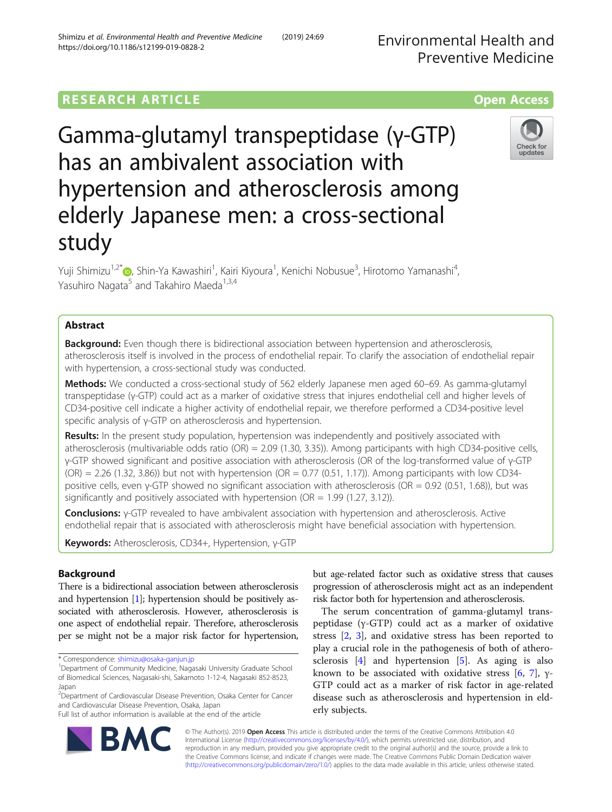# **RESEARCH ARTICLE Example 2014 12:30 The Contract of Contract ACCESS**

Gamma-glutamyl transpeptidase (γ-GTP) has an ambivalent association with hypertension and atherosclerosis among elderly Japanese men: a cross-sectional study

Yuji Shimizu<sup>1,2[\\*](http://orcid.org/0000-0002-3381-9288)</sup>®, Shin-Ya Kawashiri<sup>1</sup>, Kairi Kiyoura<sup>1</sup>, Kenichi Nobusue<sup>3</sup>, Hirotomo Yamanashi<sup>4</sup> , Yasuhiro Nagata<sup>5</sup> and Takahiro Maeda<sup>1,3,4</sup>

# Abstract

**Background:** Even though there is bidirectional association between hypertension and atherosclerosis, atherosclerosis itself is involved in the process of endothelial repair. To clarify the association of endothelial repair with hypertension, a cross-sectional study was conducted.

Methods: We conducted a cross-sectional study of 562 elderly Japanese men aged 60–69. As gamma-glutamyl transpeptidase (γ-GTP) could act as a marker of oxidative stress that injures endothelial cell and higher levels of CD34-positive cell indicate a higher activity of endothelial repair, we therefore performed a CD34-positive level specific analysis of γ-GTP on atherosclerosis and hypertension.

Results: In the present study population, hypertension was independently and positively associated with atherosclerosis (multivariable odds ratio (OR) = 2.09 (1.30, 3.35)). Among participants with high CD34-positive cells, γ-GTP showed significant and positive association with atherosclerosis (OR of the log-transformed value of γ-GTP  $(OR) = 2.26$  (1.32, 3.86)) but not with hypertension  $(OR = 0.77 \ (0.51, 1.17))$ . Among participants with low CD34positive cells, even γ-GTP showed no significant association with atherosclerosis (OR = 0.92 (0.51, 1.68)), but was significantly and positively associated with hypertension ( $OR = 1.99$  (1.27, 3.12)).

Conclusions: γ-GTP revealed to have ambivalent association with hypertension and atherosclerosis. Active endothelial repair that is associated with atherosclerosis might have beneficial association with hypertension.

Keywords: Atherosclerosis, CD34+, Hypertension, γ-GTP

# **Background**

There is a bidirectional association between atherosclerosis and hypertension [\[1\]](#page-5-0); hypertension should be positively associated with atherosclerosis. However, atherosclerosis is one aspect of endothelial repair. Therefore, atherosclerosis per se might not be a major risk factor for hypertension,

Full list of author information is available at the end of the article

but age-related factor such as oxidative stress that causes progression of atherosclerosis might act as an independent risk factor both for hypertension and atherosclerosis.

The serum concentration of gamma-glutamyl transpeptidase (γ-GTP) could act as a marker of oxidative stress [[2,](#page-5-0) [3](#page-5-0)], and oxidative stress has been reported to play a crucial role in the pathogenesis of both of atherosclerosis  $[4]$  $[4]$  and hypertension  $[5]$  $[5]$ . As aging is also known to be associated with oxidative stress [[6,](#page-5-0) [7](#page-5-0)],  $\gamma$ -GTP could act as a marker of risk factor in age-related disease such as atherosclerosis and hypertension in elderly subjects.

© The Author(s). 2019 Open Access This article is distributed under the terms of the Creative Commons Attribution 4.0 International License [\(http://creativecommons.org/licenses/by/4.0/](http://creativecommons.org/licenses/by/4.0/)), which permits unrestricted use, distribution, and reproduction in any medium, provided you give appropriate credit to the original author(s) and the source, provide a link to the Creative Commons license, and indicate if changes were made. The Creative Commons Public Domain Dedication waiver [\(http://creativecommons.org/publicdomain/zero/1.0/](http://creativecommons.org/publicdomain/zero/1.0/)) applies to the data made available in this article, unless otherwise stated.







<sup>\*</sup> Correspondence: [shimizu@osaka-ganjun.jp](mailto:shimizu@osaka-ganjun.jp) <sup>1</sup>

<sup>&</sup>lt;sup>1</sup>Department of Community Medicine, Nagasaki University Graduate School of Biomedical Sciences, Nagasaki-shi, Sakamoto 1-12-4, Nagasaki 852-8523, Japan

<sup>&</sup>lt;sup>2</sup> Department of Cardiovascular Disease Prevention, Osaka Center for Cancer and Cardiovascular Disease Prevention, Osaka, Japan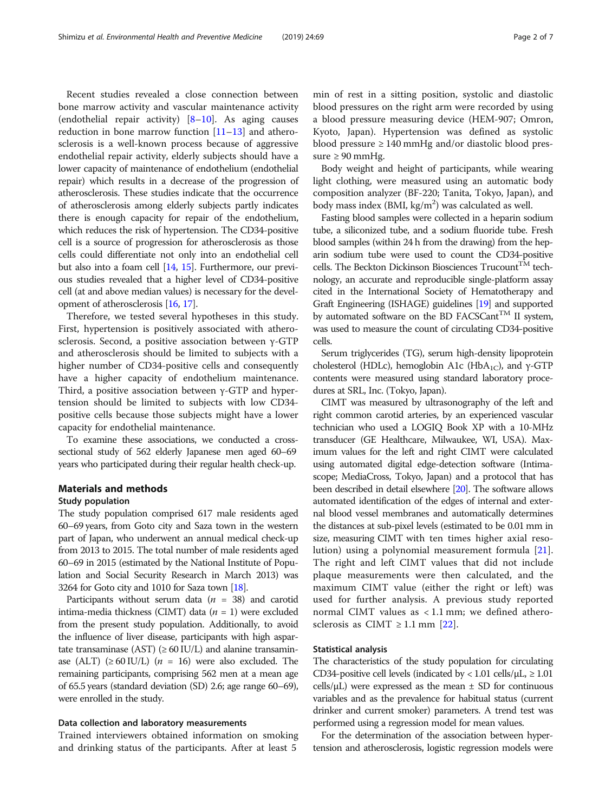Recent studies revealed a close connection between bone marrow activity and vascular maintenance activity (endothelial repair activity) [\[8](#page-5-0)–[10\]](#page-5-0). As aging causes reduction in bone marrow function  $[11-13]$  $[11-13]$  $[11-13]$  and atherosclerosis is a well-known process because of aggressive endothelial repair activity, elderly subjects should have a lower capacity of maintenance of endothelium (endothelial repair) which results in a decrease of the progression of atherosclerosis. These studies indicate that the occurrence of atherosclerosis among elderly subjects partly indicates there is enough capacity for repair of the endothelium, which reduces the risk of hypertension. The CD34-positive cell is a source of progression for atherosclerosis as those cells could differentiate not only into an endothelial cell but also into a foam cell [[14](#page-5-0), [15](#page-5-0)]. Furthermore, our previous studies revealed that a higher level of CD34-positive cell (at and above median values) is necessary for the development of atherosclerosis [[16](#page-5-0), [17](#page-5-0)].

Therefore, we tested several hypotheses in this study. First, hypertension is positively associated with atherosclerosis. Second, a positive association between γ-GTP and atherosclerosis should be limited to subjects with a higher number of CD34-positive cells and consequently have a higher capacity of endothelium maintenance. Third, a positive association between γ-GTP and hypertension should be limited to subjects with low CD34 positive cells because those subjects might have a lower capacity for endothelial maintenance.

To examine these associations, we conducted a crosssectional study of 562 elderly Japanese men aged 60–69 years who participated during their regular health check-up.

## Materials and methods

### Study population

The study population comprised 617 male residents aged 60–69 years, from Goto city and Saza town in the western part of Japan, who underwent an annual medical check-up from 2013 to 2015. The total number of male residents aged 60–69 in 2015 (estimated by the National Institute of Population and Social Security Research in March 2013) was 3264 for Goto city and 1010 for Saza town [\[18\]](#page-6-0).

Participants without serum data  $(n = 38)$  and carotid intima-media thickness (CIMT) data  $(n = 1)$  were excluded from the present study population. Additionally, to avoid the influence of liver disease, participants with high aspartate transaminase (AST) ( $\geq 60$  IU/L) and alanine transaminase (ALT)  $(≥ 60$  IU/L)  $(n = 16)$  were also excluded. The remaining participants, comprising 562 men at a mean age of 65.5 years (standard deviation (SD) 2.6; age range 60–69), were enrolled in the study.

## Data collection and laboratory measurements

Trained interviewers obtained information on smoking and drinking status of the participants. After at least 5

min of rest in a sitting position, systolic and diastolic blood pressures on the right arm were recorded by using a blood pressure measuring device (HEM-907; Omron, Kyoto, Japan). Hypertension was defined as systolic blood pressure ≥ 140 mmHg and/or diastolic blood pressure  $\geq 90$  mmHg.

Body weight and height of participants, while wearing light clothing, were measured using an automatic body composition analyzer (BF-220; Tanita, Tokyo, Japan), and body mass index (BMI, kg/m<sup>2</sup>) was calculated as well.

Fasting blood samples were collected in a heparin sodium tube, a siliconized tube, and a sodium fluoride tube. Fresh blood samples (within 24 h from the drawing) from the heparin sodium tube were used to count the CD34-positive cells. The Beckton Dickinson Biosciences Trucount $^{TM}$  technology, an accurate and reproducible single-platform assay cited in the International Society of Hematotherapy and Graft Engineering (ISHAGE) guidelines [\[19](#page-6-0)] and supported by automated software on the BD FACSCant<sup>TM</sup> II system, was used to measure the count of circulating CD34-positive cells.

Serum triglycerides (TG), serum high-density lipoprotein cholesterol (HDLc), hemoglobin A1c (HbA<sub>1C</sub>), and γ-GTP contents were measured using standard laboratory procedures at SRL, Inc. (Tokyo, Japan).

CIMT was measured by ultrasonography of the left and right common carotid arteries, by an experienced vascular technician who used a LOGIQ Book XP with a 10-MHz transducer (GE Healthcare, Milwaukee, WI, USA). Maximum values for the left and right CIMT were calculated using automated digital edge-detection software (Intimascope; MediaCross, Tokyo, Japan) and a protocol that has been described in detail elsewhere [[20\]](#page-6-0). The software allows automated identification of the edges of internal and external blood vessel membranes and automatically determines the distances at sub-pixel levels (estimated to be 0.01 mm in size, measuring CIMT with ten times higher axial resolution) using a polynomial measurement formula [\[21](#page-6-0)]. The right and left CIMT values that did not include plaque measurements were then calculated, and the maximum CIMT value (either the right or left) was used for further analysis. A previous study reported normal CIMT values as < 1.1 mm; we defined atherosclerosis as CIMT  $\geq$  1.1 mm [[22\]](#page-6-0).

## Statistical analysis

The characteristics of the study population for circulating CD34-positive cell levels (indicated by < 1.01 cells/ $\mu$ L,  $\geq 1.01$ cells/ $\mu$ L) were expressed as the mean  $\pm$  SD for continuous variables and as the prevalence for habitual status (current drinker and current smoker) parameters. A trend test was performed using a regression model for mean values.

For the determination of the association between hypertension and atherosclerosis, logistic regression models were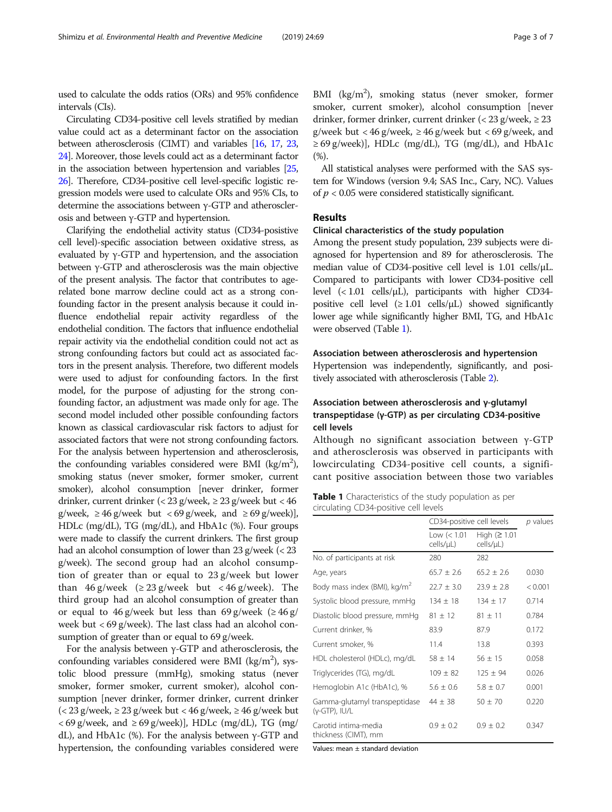used to calculate the odds ratios (ORs) and 95% confidence intervals (CIs).

Circulating CD34-positive cell levels stratified by median value could act as a determinant factor on the association between atherosclerosis (CIMT) and variables [\[16](#page-5-0), [17,](#page-5-0) [23](#page-6-0), [24](#page-6-0)]. Moreover, those levels could act as a determinant factor in the association between hypertension and variables [\[25](#page-6-0), [26](#page-6-0)]. Therefore, CD34-positive cell level-specific logistic regression models were used to calculate ORs and 95% CIs, to determine the associations between γ-GTP and atherosclerosis and between γ-GTP and hypertension.

Clarifying the endothelial activity status (CD34-posistive cell level)-specific association between oxidative stress, as evaluated by γ-GTP and hypertension, and the association between γ-GTP and atherosclerosis was the main objective of the present analysis. The factor that contributes to agerelated bone marrow decline could act as a strong confounding factor in the present analysis because it could influence endothelial repair activity regardless of the endothelial condition. The factors that influence endothelial repair activity via the endothelial condition could not act as strong confounding factors but could act as associated factors in the present analysis. Therefore, two different models were used to adjust for confounding factors. In the first model, for the purpose of adjusting for the strong confounding factor, an adjustment was made only for age. The second model included other possible confounding factors known as classical cardiovascular risk factors to adjust for associated factors that were not strong confounding factors. For the analysis between hypertension and atherosclerosis, the confounding variables considered were BMI ( $\text{kg/m}^2$ ), smoking status (never smoker, former smoker, current smoker), alcohol consumption [never drinker, former drinker, current drinker (< 23 g/week, ≥ 23 g/week but < 46 g/week, ≥ 46 g/week but < 69 g/week, and ≥ 69 g/week)], HDLc (mg/dL), TG (mg/dL), and HbA1c (%). Four groups were made to classify the current drinkers. The first group had an alcohol consumption of lower than 23 g/week (< 23 g/week). The second group had an alcohol consumption of greater than or equal to 23 g/week but lower than 46 g/week ( $\geq$  23 g/week but < 46 g/week). The third group had an alcohol consumption of greater than or equal to  $46$  g/week but less than  $69$  g/week ( $\geq 46$  g/ week but < 69 g/week). The last class had an alcohol consumption of greater than or equal to 69 g/week.

For the analysis between  $\gamma$ -GTP and atherosclerosis, the confounding variables considered were BMI ( $\text{kg/m}^2$ ), systolic blood pressure (mmHg), smoking status (never smoker, former smoker, current smoker), alcohol consumption [never drinker, former drinker, current drinker (< 23 g/week, ≥ 23 g/week but < 46 g/week, ≥ 46 g/week but  $<$  69 g/week, and  $\geq$  69 g/week)], HDLc (mg/dL), TG (mg/ dL), and HbA1c (%). For the analysis between  $γ$ -GTP and hypertension, the confounding variables considered were

BMI (kg/m<sup>2</sup>), smoking status (never smoker, former smoker, current smoker), alcohol consumption [never drinker, former drinker, current drinker (< 23 g/week, ≥ 23 g/week but < 46 g/week,  $\geq$  46 g/week but < 69 g/week, and  $\geq$  69 g/week)], HDLc (mg/dL), TG (mg/dL), and HbA1c  $(%).$ 

All statistical analyses were performed with the SAS system for Windows (version 9.4; SAS Inc., Cary, NC). Values of  $p < 0.05$  were considered statistically significant.

# Results

# Clinical characteristics of the study population

Among the present study population, 239 subjects were diagnosed for hypertension and 89 for atherosclerosis. The median value of CD34-positive cell level is 1.01 cells/μL. Compared to participants with lower CD34-positive cell level  $\langle$  (< 1.01 cells/ $\mu$ L), participants with higher CD34positive cell level  $(\geq 1.01 \text{ cells/}\mu\text{L})$  showed significantly lower age while significantly higher BMI, TG, and HbA1c were observed (Table 1).

## Association between atherosclerosis and hypertension

Hypertension was independently, significantly, and positively associated with atherosclerosis (Table [2](#page-3-0)).

# Association between atherosclerosis and γ-glutamyl transpeptidase (γ-GTP) as per circulating CD34-positive cell levels

Although no significant association between γ-GTP and atherosclerosis was observed in participants with lowcirculating CD34-positive cell counts, a significant positive association between those two variables

Table 1 Characteristics of the study population as per circulating CD34-positive cell levels

|                                                | CD34-positive cell levels  | $p$ values                      |         |
|------------------------------------------------|----------------------------|---------------------------------|---------|
|                                                | Low $(< 1.01$<br>cells/µL) | High ( $\geq$ 1.01<br>cells/uL) |         |
| No. of participants at risk                    | 280                        | 282                             |         |
| Age, years                                     | $65.7 \pm 2.6$             | $65.2 + 2.6$                    | 0.030   |
| Body mass index (BMI), kg/m <sup>2</sup>       | $22.7 \pm 3.0$             | $23.9 \pm 2.8$                  | < 0.001 |
| Systolic blood pressure, mmHg                  | $134 + 18$                 | $134 \pm 17$                    | 0.714   |
| Diastolic blood pressure, mmHg                 | $81 \pm 12$                | $81 \pm 11$                     | 0.784   |
| Current drinker, %                             | 83.9                       | 87.9                            | 0.172   |
| Current smoker, %                              | 11.4                       | 13.8                            | 0.393   |
| HDL cholesterol (HDLc), mg/dL                  | $58 + 14$                  | $56 + 15$                       | 0.058   |
| Triglycerides (TG), mg/dL                      | $109 + 82$                 | $125 + 94$                      | 0.026   |
| Hemoglobin A1c (HbA1c), %                      | $5.6 \pm 0.6$              | $5.8 \pm 0.7$                   | 0.001   |
| Gamma-glutamyl transpeptidase<br>(γ-GTP), IU/L | $44 \pm 38$                | $50 \pm 70$                     | 0.220   |
| Carotid intima-media<br>thickness (CIMT), mm   | $0.9 + 0.2$                | $0.9 + 0.2$                     | 0.347   |

Values: mean ± standard deviation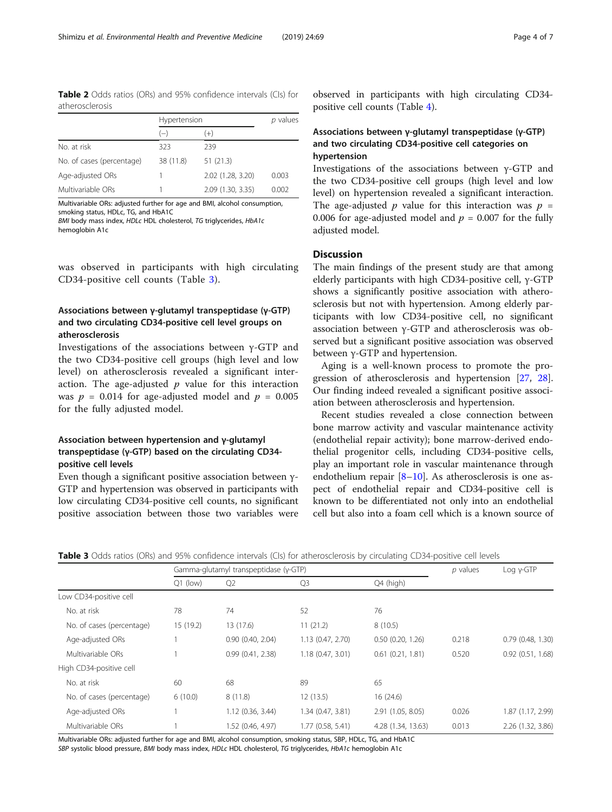<span id="page-3-0"></span>Table 2 Odds ratios (ORs) and 95% confidence intervals (CIs) for atherosclerosis

|                           | Hypertension |                   | p values |
|---------------------------|--------------|-------------------|----------|
|                           | $(-)$        | $(+)$             |          |
| No. at risk               | 323          | 239               |          |
| No. of cases (percentage) | 38 (11.8)    | 51(21.3)          |          |
| Age-adjusted ORs          |              | 2.02 (1.28, 3.20) | 0.003    |
| Multivariable ORs         |              | 2.09 (1.30, 3.35) | 0.002    |

Multivariable ORs: adjusted further for age and BMI, alcohol consumption, smoking status, HDLc, TG, and HbA1C BMI body mass index, HDLc HDL cholesterol, TG triglycerides, HbA1c

hemoglobin A1c

was observed in participants with high circulating CD34-positive cell counts (Table 3).

# Associations between γ-glutamyl transpeptidase (γ-GTP) and two circulating CD34-positive cell level groups on atherosclerosis

Investigations of the associations between γ-GTP and the two CD34-positive cell groups (high level and low level) on atherosclerosis revealed a significant interaction. The age-adjusted  $p$  value for this interaction was  $p = 0.014$  for age-adjusted model and  $p = 0.005$ for the fully adjusted model.

# Association between hypertension and γ-glutamyl transpeptidase (γ-GTP) based on the circulating CD34 positive cell levels

Even though a significant positive association between γ-GTP and hypertension was observed in participants with low circulating CD34-positive cell counts, no significant positive association between those two variables were

observed in participants with high circulating CD34 positive cell counts (Table [4\)](#page-4-0).

## Associations between γ-glutamyl transpeptidase (γ-GTP) and two circulating CD34-positive cell categories on hypertension

Investigations of the associations between γ-GTP and the two CD34-positive cell groups (high level and low level) on hypertension revealed a significant interaction. The age-adjusted p value for this interaction was  $p =$ 0.006 for age-adjusted model and  $p = 0.007$  for the fully adjusted model.

## **Discussion**

The main findings of the present study are that among elderly participants with high CD34-positive cell, γ-GTP shows a significantly positive association with atherosclerosis but not with hypertension. Among elderly participants with low CD34-positive cell, no significant association between γ-GTP and atherosclerosis was observed but a significant positive association was observed between γ-GTP and hypertension.

Aging is a well-known process to promote the progression of atherosclerosis and hypertension [[27,](#page-6-0) [28](#page-6-0)]. Our finding indeed revealed a significant positive association between atherosclerosis and hypertension.

Recent studies revealed a close connection between bone marrow activity and vascular maintenance activity (endothelial repair activity); bone marrow-derived endothelial progenitor cells, including CD34-positive cells, play an important role in vascular maintenance through endothelium repair  $[8-10]$  $[8-10]$  $[8-10]$  $[8-10]$  $[8-10]$ . As atherosclerosis is one aspect of endothelial repair and CD34-positive cell is known to be differentiated not only into an endothelial cell but also into a foam cell which is a known source of

|                           | Gamma-glutamyl transpeptidase (y-GTP) |                   |                   | p values              | $Log y-GTP$ |                   |
|---------------------------|---------------------------------------|-------------------|-------------------|-----------------------|-------------|-------------------|
|                           | $Q1$ (low)                            | Q <sub>2</sub>    | Q <sub>3</sub>    | Q4 (high)             |             |                   |
| Low CD34-positive cell    |                                       |                   |                   |                       |             |                   |
| No. at risk               | 78                                    | 74                | 52                | 76                    |             |                   |
| No. of cases (percentage) | 15(19.2)                              | 13 (17.6)         | 11(21.2)          | 8(10.5)               |             |                   |
| Age-adjusted ORs          |                                       | 0.90(0.40, 2.04)  | 1.13 (0.47, 2.70) | $0.50$ $(0.20, 1.26)$ | 0.218       | 0.79(0.48, 1.30)  |
| Multivariable ORs         |                                       | 0.99(0.41, 2.38)  | 1.18(0.47, 3.01)  | $0.61$ $(0.21, 1.81)$ | 0.520       | 0.92(0.51, 1.68)  |
| High CD34-positive cell   |                                       |                   |                   |                       |             |                   |
| No. at risk               | 60                                    | 68                | 89                | 65                    |             |                   |
| No. of cases (percentage) | 6(10.0)                               | 8(11.8)           | 12(13.5)          | 16(24.6)              |             |                   |
| Age-adjusted ORs          |                                       | 1.12(0.36, 3.44)  | 1.34 (0.47, 3.81) | 2.91 (1.05, 8.05)     | 0.026       | 1.87 (1.17, 2.99) |
| Multivariable ORs         |                                       | 1.52 (0.46, 4.97) | 1.77 (0.58, 5.41) | 4.28 (1.34, 13.63)    | 0.013       | 2.26 (1.32, 3.86) |
|                           |                                       |                   |                   |                       |             |                   |

Table 3 Odds ratios (ORs) and 95% confidence intervals (CIs) for atherosclerosis by circulating CD34-positive cell levels

Multivariable ORs: adjusted further for age and BMI, alcohol consumption, smoking status, SBP, HDLc, TG, and HbA1C

SBP systolic blood pressure, BMI body mass index, HDLc HDL cholesterol, TG triglycerides, HbA1c hemoglobin A1c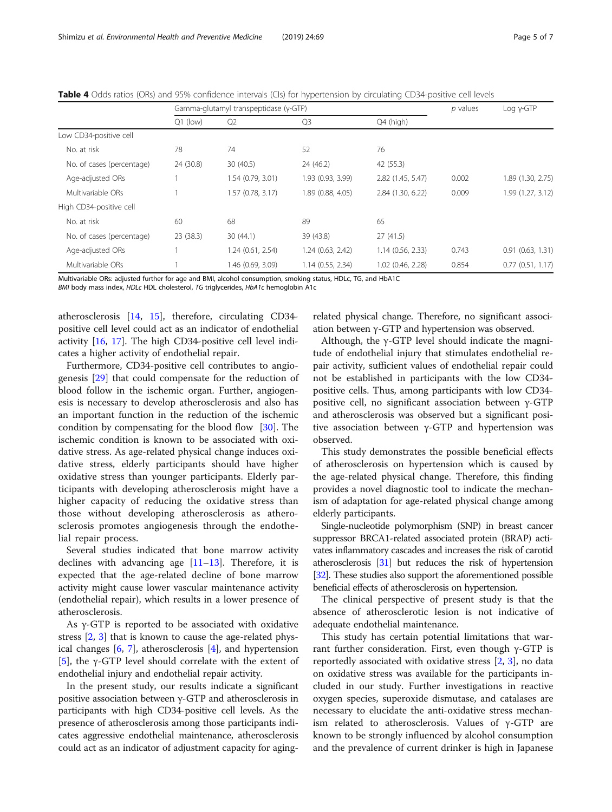|                           | Gamma-glutamyl transpeptidase (γ-GTP) |                   |                   | $p$ values        | $Log y-GTP$ |                   |
|---------------------------|---------------------------------------|-------------------|-------------------|-------------------|-------------|-------------------|
|                           | $Q1$ (low)                            | Q <sub>2</sub>    | Q <sub>3</sub>    | Q4 (high)         |             |                   |
| Low CD34-positive cell    |                                       |                   |                   |                   |             |                   |
| No. at risk               | 78                                    | 74                | 52                | 76                |             |                   |
| No. of cases (percentage) | 24 (30.8)                             | 30(40.5)          | 24 (46.2)         | 42 (55.3)         |             |                   |
| Age-adjusted ORs          |                                       | 1.54 (0.79, 3.01) | 1.93 (0.93, 3.99) | 2.82 (1.45, 5.47) | 0.002       | 1.89 (1.30, 2.75) |
| Multivariable ORs         |                                       | 1.57 (0.78, 3.17) | 1.89 (0.88, 4.05) | 2.84 (1.30, 6.22) | 0.009       | 1.99 (1.27, 3.12) |
| High CD34-positive cell   |                                       |                   |                   |                   |             |                   |
| No. at risk               | 60                                    | 68                | 89                | 65                |             |                   |
| No. of cases (percentage) | 23 (38.3)                             | 30(44.1)          | 39 (43.8)         | 27(41.5)          |             |                   |
| Age-adjusted ORs          |                                       | 1.24 (0.61, 2.54) | 1.24(0.63, 2.42)  | 1.14(0.56, 2.33)  | 0.743       | 0.91(0.63, 1.31)  |
| Multivariable ORs         |                                       | 1.46 (0.69, 3.09) | 1.14(0.55, 2.34)  | 1.02 (0.46, 2.28) | 0.854       | 0.77(0.51, 1.17)  |
|                           |                                       |                   |                   | .                 |             |                   |

<span id="page-4-0"></span>Table 4 Odds ratios (ORs) and 95% confidence intervals (CIs) for hypertension by circulating CD34-positive cell levels

Multivariable ORs: adjusted further for age and BMI, alcohol consumption, smoking status, HDLc, TG, and HbA1C

BMI body mass index, HDLc HDL cholesterol, TG triglycerides, HbA1c hemoglobin A1c

atherosclerosis [[14,](#page-5-0) [15](#page-5-0)], therefore, circulating CD34 positive cell level could act as an indicator of endothelial activity [[16,](#page-5-0) [17](#page-5-0)]. The high CD34-positive cell level indicates a higher activity of endothelial repair.

Furthermore, CD34-positive cell contributes to angiogenesis [[29](#page-6-0)] that could compensate for the reduction of blood follow in the ischemic organ. Further, angiogenesis is necessary to develop atherosclerosis and also has an important function in the reduction of the ischemic condition by compensating for the blood flow [[30\]](#page-6-0). The ischemic condition is known to be associated with oxidative stress. As age-related physical change induces oxidative stress, elderly participants should have higher oxidative stress than younger participants. Elderly participants with developing atherosclerosis might have a higher capacity of reducing the oxidative stress than those without developing atherosclerosis as atherosclerosis promotes angiogenesis through the endothelial repair process.

Several studies indicated that bone marrow activity declines with advancing age  $[11-13]$  $[11-13]$  $[11-13]$  $[11-13]$  $[11-13]$ . Therefore, it is expected that the age-related decline of bone marrow activity might cause lower vascular maintenance activity (endothelial repair), which results in a lower presence of atherosclerosis.

As γ-GTP is reported to be associated with oxidative stress [[2,](#page-5-0) [3\]](#page-5-0) that is known to cause the age-related physical changes [\[6](#page-5-0), [7](#page-5-0)], atherosclerosis [\[4\]](#page-5-0), and hypertension [[5\]](#page-5-0), the γ-GTP level should correlate with the extent of endothelial injury and endothelial repair activity.

In the present study, our results indicate a significant positive association between γ-GTP and atherosclerosis in participants with high CD34-positive cell levels. As the presence of atherosclerosis among those participants indicates aggressive endothelial maintenance, atherosclerosis could act as an indicator of adjustment capacity for aging-

related physical change. Therefore, no significant association between γ-GTP and hypertension was observed.

Although, the  $\gamma$ -GTP level should indicate the magnitude of endothelial injury that stimulates endothelial repair activity, sufficient values of endothelial repair could not be established in participants with the low CD34 positive cells. Thus, among participants with low CD34 positive cell, no significant association between γ-GTP and atherosclerosis was observed but a significant positive association between  $γ$ -GTP and hypertension was observed.

This study demonstrates the possible beneficial effects of atherosclerosis on hypertension which is caused by the age-related physical change. Therefore, this finding provides a novel diagnostic tool to indicate the mechanism of adaptation for age-related physical change among elderly participants.

Single-nucleotide polymorphism (SNP) in breast cancer suppressor BRCA1-related associated protein (BRAP) activates inflammatory cascades and increases the risk of carotid atherosclerosis [\[31\]](#page-6-0) but reduces the risk of hypertension [[32\]](#page-6-0). These studies also support the aforementioned possible beneficial effects of atherosclerosis on hypertension.

The clinical perspective of present study is that the absence of atherosclerotic lesion is not indicative of adequate endothelial maintenance.

This study has certain potential limitations that warrant further consideration. First, even though  $γ$ -GTP is reportedly associated with oxidative stress [\[2,](#page-5-0) [3](#page-5-0)], no data on oxidative stress was available for the participants included in our study. Further investigations in reactive oxygen species, superoxide dismutase, and catalases are necessary to elucidate the anti-oxidative stress mechanism related to atherosclerosis. Values of  $γ$ -GTP are known to be strongly influenced by alcohol consumption and the prevalence of current drinker is high in Japanese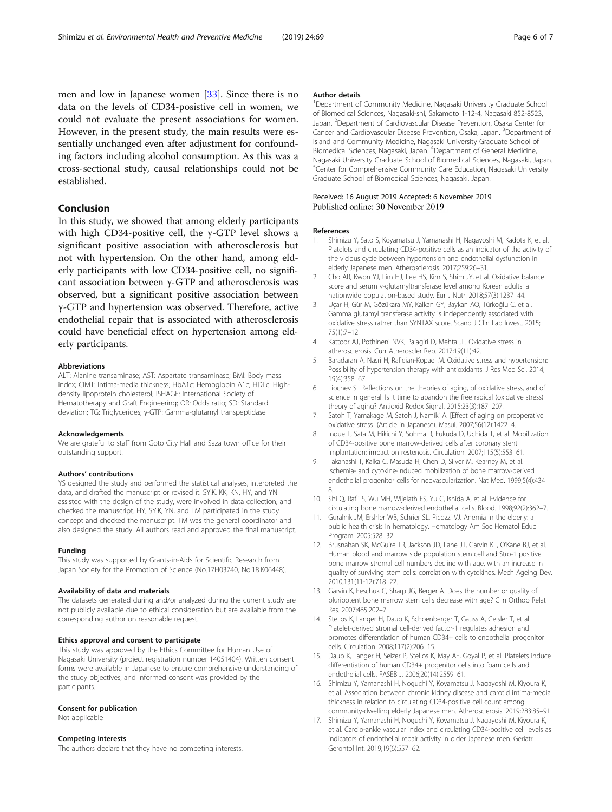<span id="page-5-0"></span>men and low in Japanese women [[33](#page-6-0)]. Since there is no data on the levels of CD34-posistive cell in women, we could not evaluate the present associations for women. However, in the present study, the main results were essentially unchanged even after adjustment for confounding factors including alcohol consumption. As this was a cross-sectional study, causal relationships could not be established.

## Conclusion

In this study, we showed that among elderly participants with high CD34-positive cell, the  $\gamma$ -GTP level shows a significant positive association with atherosclerosis but not with hypertension. On the other hand, among elderly participants with low CD34-positive cell, no significant association between γ-GTP and atherosclerosis was observed, but a significant positive association between γ-GTP and hypertension was observed. Therefore, active endothelial repair that is associated with atherosclerosis could have beneficial effect on hypertension among elderly participants.

#### Abbreviations

ALT: Alanine transaminase; AST: Aspartate transaminase; BMI: Body mass index; CIMT: Intima-media thickness; HbA1c: Hemoglobin A1c; HDLc: Highdensity lipoprotein cholesterol; ISHAGE: International Society of Hematotherapy and Graft Engineering; OR: Odds ratio; SD: Standard deviation; TG: Triglycerides; γ-GTP: Gamma-glutamyl transpeptidase

#### Acknowledgements

We are grateful to staff from Goto City Hall and Saza town office for their outstanding support.

#### Authors' contributions

YS designed the study and performed the statistical analyses, interpreted the data, and drafted the manuscript or revised it. SY.K, KK, KN, HY, and YN assisted with the design of the study, were involved in data collection, and checked the manuscript. HY, SY.K, YN, and TM participated in the study concept and checked the manuscript. TM was the general coordinator and also designed the study. All authors read and approved the final manuscript.

#### Funding

This study was supported by Grants-in-Aids for Scientific Research from Japan Society for the Promotion of Science (No.17H03740, No.18 K06448).

#### Availability of data and materials

The datasets generated during and/or analyzed during the current study are not publicly available due to ethical consideration but are available from the corresponding author on reasonable request.

### Ethics approval and consent to participate

This study was approved by the Ethics Committee for Human Use of Nagasaki University (project registration number 14051404). Written consent forms were available in Japanese to ensure comprehensive understanding of the study objectives, and informed consent was provided by the participants.

#### Consent for publication

Not applicable

#### Competing interests

The authors declare that they have no competing interests.

#### Author details

<sup>1</sup>Department of Community Medicine, Nagasaki University Graduate School of Biomedical Sciences, Nagasaki-shi, Sakamoto 1-12-4, Nagasaki 852-8523, Japan. <sup>2</sup> Department of Cardiovascular Disease Prevention, Osaka Center for Cancer and Cardiovascular Disease Prevention, Osaka, Japan. <sup>3</sup>Department of Island and Community Medicine, Nagasaki University Graduate School of Biomedical Sciences, Nagasaki, Japan. <sup>4</sup> Department of General Medicine, Nagasaki University Graduate School of Biomedical Sciences, Nagasaki, Japan. <sup>5</sup>Center for Comprehensive Community Care Education, Nagasaki University Graduate School of Biomedical Sciences, Nagasaki, Japan.

# Received: 16 August 2019 Accepted: 6 November 2019

## References

- 1. Shimizu Y, Sato S, Koyamatsu J, Yamanashi H, Nagayoshi M, Kadota K, et al. Platelets and circulating CD34-positive cells as an indicator of the activity of the vicious cycle between hypertension and endothelial dysfunction in elderly Japanese men. Atherosclerosis. 2017;259:26–31.
- 2. Cho AR, Kwon YJ, Lim HJ, Lee HS, Kim S, Shim JY, et al. Oxidative balance score and serum γ-glutamyltransferase level among Korean adults: a nationwide population-based study. Eur J Nutr. 2018;57(3):1237–44.
- 3. Uçar H, Gür M, Gözükara MY, Kalkan GY, Baykan AO, Türkoğlu C, et al. Gamma glutamyl transferase activity is independently associated with oxidative stress rather than SYNTAX score. Scand J Clin Lab Invest. 2015; 75(1):7–12.
- 4. Kattoor AJ, Pothineni NVK, Palagiri D, Mehta JL. Oxidative stress in atherosclerosis. Curr Atheroscler Rep. 2017;19(11):42.
- 5. Baradaran A, Nasri H, Rafieian-Kopaei M. Oxidative stress and hypertension: Possibility of hypertension therapy with antioxidants. J Res Med Sci. 2014; 19(4):358–67.
- 6. Liochev SI. Reflections on the theories of aging, of oxidative stress, and of science in general. Is it time to abandon the free radical (oxidative stress) theory of aging? Antioxid Redox Signal. 2015;23(3):187–207.
- 7. Satoh T, Yamakage M, Satoh J, Namiki A. [Effect of aging on preoperative oxidative stress] (Article in Japanese). Masui. 2007;56(12):1422–4.
- 8. Inoue T, Sata M, Hikichi Y, Sohma R, Fukuda D, Uchida T, et al. Mobilization of CD34-positive bone marrow-derived cells after coronary stent implantation: impact on restenosis. Circulation. 2007;115(5):553–61.
- 9. Takahashi T, Kalka C, Masuda H, Chen D, Silver M, Kearney M, et al. Ischemia- and cytokine-induced mobilization of bone marrow-derived endothelial progenitor cells for neovascularization. Nat Med. 1999;5(4):434– 8.
- 10. Shi Q, Rafii S, Wu MH, Wijelath ES, Yu C, Ishida A, et al. Evidence for circulating bone marrow-derived endothelial cells. Blood. 1998;92(2):362–7.
- 11. Guralnik JM, Ershler WB, Schrier SL, Picozzi VJ. Anemia in the elderly: a public health crisis in hematology. Hematology Am Soc Hematol Educ Program. 2005:528–32.
- 12. Brusnahan SK, McGuire TR, Jackson JD, Lane JT, Garvin KL, O'Kane BJ, et al. Human blood and marrow side population stem cell and Stro-1 positive bone marrow stromal cell numbers decline with age, with an increase in quality of surviving stem cells: correlation with cytokines. Mech Ageing Dev. 2010;131(11-12):718–22.
- 13. Garvin K, Feschuk C, Sharp JG, Berger A. Does the number or quality of pluripotent bone marrow stem cells decrease with age? Clin Orthop Relat Res. 2007;465:202–7.
- 14. Stellos K, Langer H, Daub K, Schoenberger T, Gauss A, Geisler T, et al. Platelet-derived stromal cell-derived factor-1 regulates adhesion and promotes differentiation of human CD34+ cells to endothelial progenitor cells. Circulation. 2008;117(2):206–15.
- 15. Daub K, Langer H, Seizer P, Stellos K, May AE, Goyal P, et al. Platelets induce differentiation of human CD34+ progenitor cells into foam cells and endothelial cells. FASEB J. 2006;20(14):2559–61.
- 16. Shimizu Y, Yamanashi H, Noguchi Y, Koyamatsu J, Nagayoshi M, Kiyoura K, et al. Association between chronic kidney disease and carotid intima-media thickness in relation to circulating CD34-positive cell count among community-dwelling elderly Japanese men. Atherosclerosis. 2019;283:85–91.
- 17. Shimizu Y, Yamanashi H, Noguchi Y, Koyamatsu J, Nagayoshi M, Kiyoura K, et al. Cardio-ankle vascular index and circulating CD34-positive cell levels as indicators of endothelial repair activity in older Japanese men. Geriatr Gerontol Int. 2019;19(6):557–62.